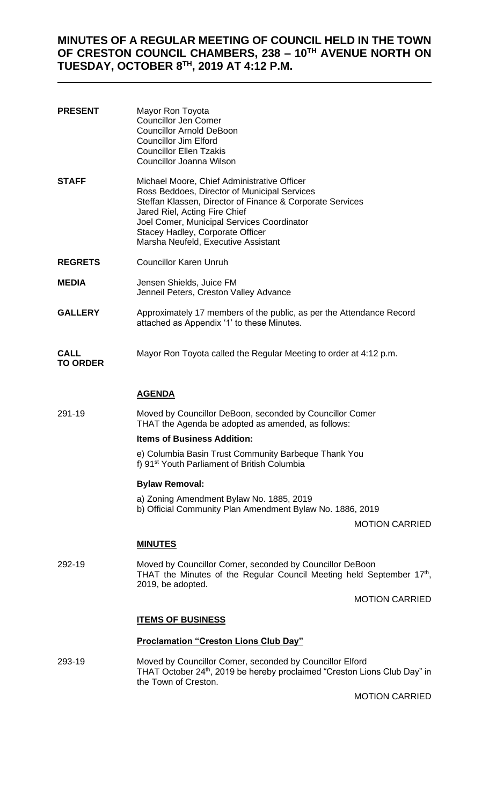# **MINUTES OF A REGULAR MEETING OF COUNCIL HELD IN THE TOWN OF CRESTON COUNCIL CHAMBERS, 238 – 10TH AVENUE NORTH ON TUESDAY, OCTOBER 8TH, 2019 AT 4:12 P.M.**

| <b>PRESENT</b>                 | Mayor Ron Toyota<br><b>Councillor Jen Comer</b><br><b>Councillor Arnold DeBoon</b><br><b>Councillor Jim Elford</b><br><b>Councillor Ellen Tzakis</b><br><b>Councillor Joanna Wilson</b>                                                                                                                            |
|--------------------------------|--------------------------------------------------------------------------------------------------------------------------------------------------------------------------------------------------------------------------------------------------------------------------------------------------------------------|
| <b>STAFF</b>                   | Michael Moore, Chief Administrative Officer<br>Ross Beddoes, Director of Municipal Services<br>Steffan Klassen, Director of Finance & Corporate Services<br>Jared Riel, Acting Fire Chief<br>Joel Comer, Municipal Services Coordinator<br>Stacey Hadley, Corporate Officer<br>Marsha Neufeld, Executive Assistant |
| <b>REGRETS</b>                 | <b>Councillor Karen Unruh</b>                                                                                                                                                                                                                                                                                      |
| <b>MEDIA</b>                   | Jensen Shields, Juice FM<br>Jenneil Peters, Creston Valley Advance                                                                                                                                                                                                                                                 |
| <b>GALLERY</b>                 | Approximately 17 members of the public, as per the Attendance Record<br>attached as Appendix '1' to these Minutes.                                                                                                                                                                                                 |
| <b>CALL</b><br><b>TO ORDER</b> | Mayor Ron Toyota called the Regular Meeting to order at 4:12 p.m.                                                                                                                                                                                                                                                  |
|                                | <b>AGENDA</b>                                                                                                                                                                                                                                                                                                      |
| 291-19                         | Moved by Councillor DeBoon, seconded by Councillor Comer<br>THAT the Agenda be adopted as amended, as follows:                                                                                                                                                                                                     |
|                                | <b>Items of Business Addition:</b>                                                                                                                                                                                                                                                                                 |
|                                | e) Columbia Basin Trust Community Barbeque Thank You<br>f) 91 <sup>st</sup> Youth Parliament of British Columbia                                                                                                                                                                                                   |
|                                | <b>Bylaw Removal:</b>                                                                                                                                                                                                                                                                                              |
|                                | a) Zoning Amendment Bylaw No. 1885, 2019<br>b) Official Community Plan Amendment Bylaw No. 1886, 2019                                                                                                                                                                                                              |
|                                | <b>MOTION CARRIED</b>                                                                                                                                                                                                                                                                                              |
|                                | <b>MINUTES</b>                                                                                                                                                                                                                                                                                                     |
| 292-19                         | Moved by Councillor Comer, seconded by Councillor DeBoon<br>THAT the Minutes of the Regular Council Meeting held September 17th,<br>2019, be adopted.                                                                                                                                                              |
|                                | <b>MOTION CARRIED</b>                                                                                                                                                                                                                                                                                              |
|                                | <u><b>ITEMS OF BUSINESS</b></u>                                                                                                                                                                                                                                                                                    |
|                                | <b>Proclamation "Creston Lions Club Day"</b>                                                                                                                                                                                                                                                                       |
| 293-19                         | Moved by Councillor Comer, seconded by Councillor Elford<br>THAT October 24 <sup>th</sup> , 2019 be hereby proclaimed "Creston Lions Club Day" in<br>the Town of Creston.                                                                                                                                          |

MOTION CARRIED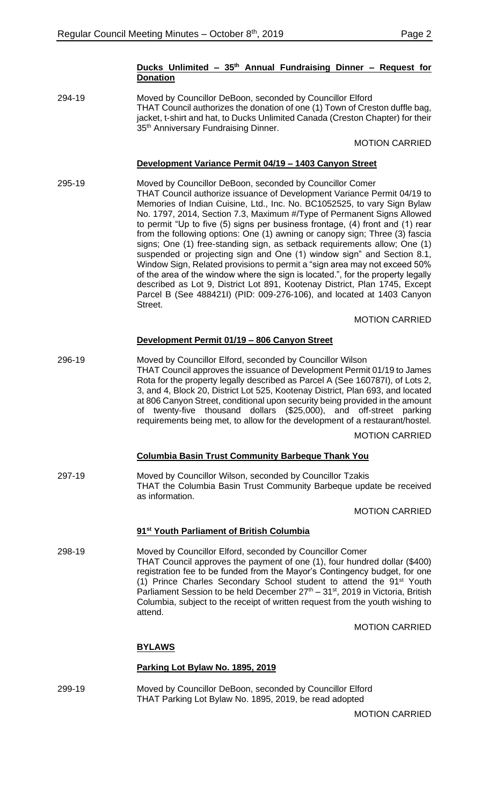#### **Ducks Unlimited – 35th Annual Fundraising Dinner – Request for Donation**

294-19 Moved by Councillor DeBoon, seconded by Councillor Elford THAT Council authorizes the donation of one (1) Town of Creston duffle bag, jacket, t-shirt and hat, to Ducks Unlimited Canada (Creston Chapter) for their 35<sup>th</sup> Anniversary Fundraising Dinner.

#### MOTION CARRIED

### **Development Variance Permit 04/19 – 1403 Canyon Street**

295-19 Moved by Councillor DeBoon, seconded by Councillor Comer THAT Council authorize issuance of Development Variance Permit 04/19 to Memories of Indian Cuisine, Ltd., Inc. No. BC1052525, to vary Sign Bylaw No. 1797, 2014, Section 7.3, Maximum #/Type of Permanent Signs Allowed to permit "Up to five (5) signs per business frontage, (4) front and (1) rear from the following options: One (1) awning or canopy sign; Three (3) fascia signs; One (1) free-standing sign, as setback requirements allow; One (1) suspended or projecting sign and One (1) window sign" and Section 8.1, Window Sign, Related provisions to permit a "sign area may not exceed 50% of the area of the window where the sign is located.", for the property legally described as Lot 9, District Lot 891, Kootenay District, Plan 1745, Except Parcel B (See 488421I) (PID: 009-276-106), and located at 1403 Canyon **Street** 

#### MOTION CARRIED

#### **Development Permit 01/19 – 806 Canyon Street**

296-19 Moved by Councillor Elford, seconded by Councillor Wilson THAT Council approves the issuance of Development Permit 01/19 to James Rota for the property legally described as Parcel A (See 160787I), of Lots 2, 3, and 4, Block 20, District Lot 525, Kootenay District, Plan 693, and located at 806 Canyon Street, conditional upon security being provided in the amount of twenty-five thousand dollars (\$25,000), and off-street parking requirements being met, to allow for the development of a restaurant/hostel.

# MOTION CARRIED

#### **Columbia Basin Trust Community Barbeque Thank You**

297-19 Moved by Councillor Wilson, seconded by Councillor Tzakis THAT the Columbia Basin Trust Community Barbeque update be received as information.

MOTION CARRIED

#### **91st Youth Parliament of British Columbia**

298-19 Moved by Councillor Elford, seconded by Councillor Comer THAT Council approves the payment of one (1), four hundred dollar (\$400) registration fee to be funded from the Mayor's Contingency budget, for one (1) Prince Charles Secondary School student to attend the 91<sup>st</sup> Youth Parliament Session to be held December  $27<sup>th</sup> - 31<sup>st</sup>$ , 2019 in Victoria, British Columbia, subject to the receipt of written request from the youth wishing to attend.

MOTION CARRIED

#### **BYLAWS**

#### **Parking Lot Bylaw No. 1895, 2019**

299-19 Moved by Councillor DeBoon, seconded by Councillor Elford THAT Parking Lot Bylaw No. 1895, 2019, be read adopted

MOTION CARRIED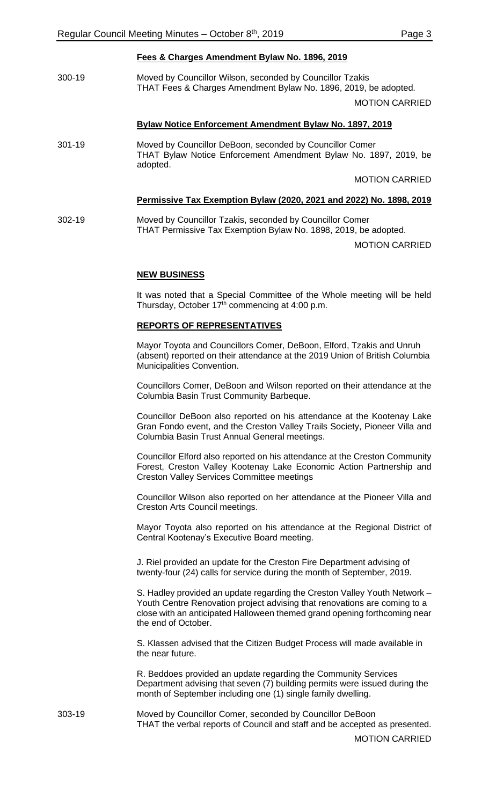300-19 Moved by Councillor Wilson, seconded by Councillor Tzakis THAT Fees & Charges Amendment Bylaw No. 1896, 2019, be adopted.

MOTION CARRIED

#### **Bylaw Notice Enforcement Amendment Bylaw No. 1897, 2019**

301-19 Moved by Councillor DeBoon, seconded by Councillor Comer THAT Bylaw Notice Enforcement Amendment Bylaw No. 1897, 2019, be adopted.

MOTION CARRIED

#### **Permissive Tax Exemption Bylaw (2020, 2021 and 2022) No. 1898, 2019**

302-19 Moved by Councillor Tzakis, seconded by Councillor Comer THAT Permissive Tax Exemption Bylaw No. 1898, 2019, be adopted.

MOTION CARRIED

#### **NEW BUSINESS**

It was noted that a Special Committee of the Whole meeting will be held Thursday, October 17<sup>th</sup> commencing at 4:00 p.m.

#### **REPORTS OF REPRESENTATIVES**

Mayor Toyota and Councillors Comer, DeBoon, Elford, Tzakis and Unruh (absent) reported on their attendance at the 2019 Union of British Columbia Municipalities Convention.

Councillors Comer, DeBoon and Wilson reported on their attendance at the Columbia Basin Trust Community Barbeque.

Councillor DeBoon also reported on his attendance at the Kootenay Lake Gran Fondo event, and the Creston Valley Trails Society, Pioneer Villa and Columbia Basin Trust Annual General meetings.

Councillor Elford also reported on his attendance at the Creston Community Forest, Creston Valley Kootenay Lake Economic Action Partnership and Creston Valley Services Committee meetings

Councillor Wilson also reported on her attendance at the Pioneer Villa and Creston Arts Council meetings.

Mayor Toyota also reported on his attendance at the Regional District of Central Kootenay's Executive Board meeting.

J. Riel provided an update for the Creston Fire Department advising of twenty-four (24) calls for service during the month of September, 2019.

S. Hadley provided an update regarding the Creston Valley Youth Network – Youth Centre Renovation project advising that renovations are coming to a close with an anticipated Halloween themed grand opening forthcoming near the end of October.

S. Klassen advised that the Citizen Budget Process will made available in the near future.

R. Beddoes provided an update regarding the Community Services Department advising that seven (7) building permits were issued during the month of September including one (1) single family dwelling.

303-19 Moved by Councillor Comer, seconded by Councillor DeBoon THAT the verbal reports of Council and staff and be accepted as presented.